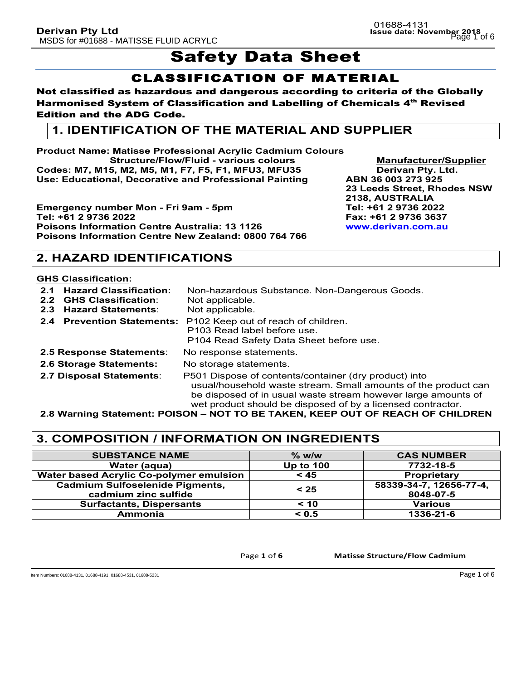# Safety Data Sheet

## CLASSIFICATION OF MATERIAL

### Not classified as hazardous and dangerous according to criteria of the Globally Harmonised System of Classification and Labelling of Chemicals 4<sup>th</sup> Revised Edition and the ADG Code.

## **1. IDENTIFICATION OF THE MATERIAL AND SUPPLIER**

**Product Name: Matisse Professional Acrylic Cadmium Colours Structure/Flow/Fluid - various colours Manufacturer/Supplier Codes: M7, M15, M2, M5, M1, F7, F5, F1, MFU3, MFU35 Derivan Pty. Ltd. Use: Educational, Decorative and Professional Painting ABN 36 003 273 925**

**Emergency number Mon - Fri 9am - 5pm Tel: +61 2 9736 2022 Tel: +61 2 9736 2022 Fax: +61 2 9736 3637 Poisons Information Centre Australia: 13 1126 Poisons Information Centre New Zealand: 0800 764 766**

**23 Leeds Street, Rhodes NSW 2138, AUSTRALIA**

## **2. HAZARD IDENTIFICATIONS**

### **GHS Classification:**

- **2.1 Hazard Classification:** Non-hazardous Substance. Non-Dangerous Goods. **2.2 GHS Classification**: Not applicable.
- **2.3 Hazard Statements**: Not applicable.
- 
- **2.4 Prevention Statements:** P102 Keep out of reach of children. P103 Read label before use. P104 Read Safety Data Sheet before use. **2.5 Response Statements**: No response statements.
- 
- **2.6 Storage Statements:** No storage statements.
- 
- 
- **2.7 Disposal Statements**: P501 Dispose of contents/container (dry product) into usual/household waste stream. Small amounts of the product can be disposed of in usual waste stream however large amounts of wet product should be disposed of by a licensed contractor.

**2.8 Warning Statement: POISON – NOT TO BE TAKEN, KEEP OUT OF REACH OF CHILDREN**

## **3. COMPOSITION / INFORMATION ON INGREDIENTS**

| <b>SUBSTANCE NAME</b>                   | $\%$ w/w         | <b>CAS NUMBER</b>       |
|-----------------------------------------|------------------|-------------------------|
| Water (aqua)                            | <b>Up to 100</b> | 7732-18-5               |
| Water based Acrylic Co-polymer emulsion | < 45             | Proprietary             |
| <b>Cadmium Sulfoselenide Pigments,</b>  | < 25             | 58339-34-7, 12656-77-4, |
| cadmium zinc sulfide                    |                  | 8048-07-5               |
| <b>Surfactants, Dispersants</b>         | < 10             | <b>Various</b>          |
| Ammonia                                 | < 0.5            | 1336-21-6               |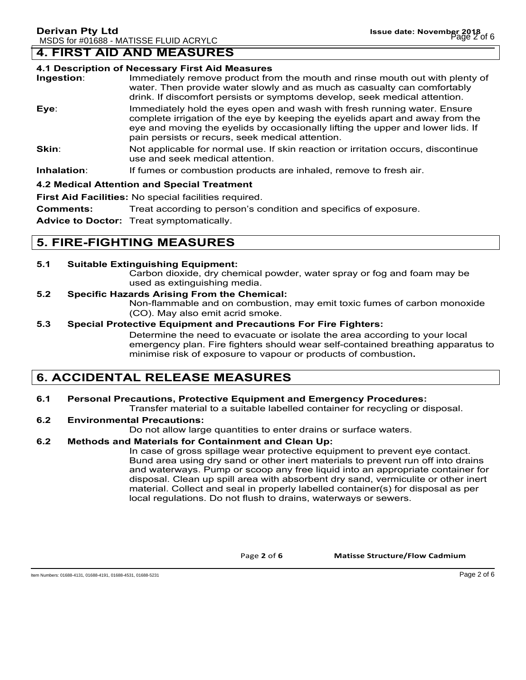## **4. FIRST AID AND MEASURES**

#### **4.1 Description of Necessary First Aid Measures**

- **Ingestion**: Immediately remove product from the mouth and rinse mouth out with plenty of water. Then provide water slowly and as much as casualty can comfortably drink. If discomfort persists or symptoms develop, seek medical attention.
- **Eye**: Immediately hold the eyes open and wash with fresh running water. Ensure complete irrigation of the eye by keeping the eyelids apart and away from the eye and moving the eyelids by occasionally lifting the upper and lower lids. If pain persists or recurs, seek medical attention.
- **Skin:** Not applicable for normal use. If skin reaction or irritation occurs, discontinue use and seek medical attention.
- **Inhalation:** If fumes or combustion products are inhaled, remove to fresh air.

#### **4.2 Medical Attention and Special Treatment**

**First Aid Facilities:** No special facilities required.

**Comments:** Treat according to person's condition and specifics of exposure.

**Advice to Doctor:** Treat symptomatically.

## **5. FIRE-FIGHTING MEASURES**

#### **5.1 Suitable Extinguishing Equipment:**

Carbon dioxide, dry chemical powder, water spray or fog and foam may be used as extinguishing media.

#### **5.2 Specific Hazards Arising From the Chemical:**

Non-flammable and on combustion, may emit toxic fumes of carbon monoxide (CO). May also emit acrid smoke.

#### **5.3 Special Protective Equipment and Precautions For Fire Fighters:**

Determine the need to evacuate or isolate the area according to your local emergency plan. Fire fighters should wear self-contained breathing apparatus to minimise risk of exposure to vapour or products of combustion**.**

## **6. ACCIDENTAL RELEASE MEASURES**

### **6.1 Personal Precautions, Protective Equipment and Emergency Procedures:**

Transfer material to a suitable labelled container for recycling or disposal.

#### **6.2 Environmental Precautions:**

Do not allow large quantities to enter drains or surface waters.

#### **6.2 Methods and Materials for Containment and Clean Up:**

In case of gross spillage wear protective equipment to prevent eye contact. Bund area using dry sand or other inert materials to prevent run off into drains and waterways. Pump or scoop any free liquid into an appropriate container for disposal. Clean up spill area with absorbent dry sand, vermiculite or other inert material. Collect and seal in properly labelled container(s) for disposal as per local regulations. Do not flush to drains, waterways or sewers.

Page 2 of 6 **Matisse Structure/Flow Cadmium**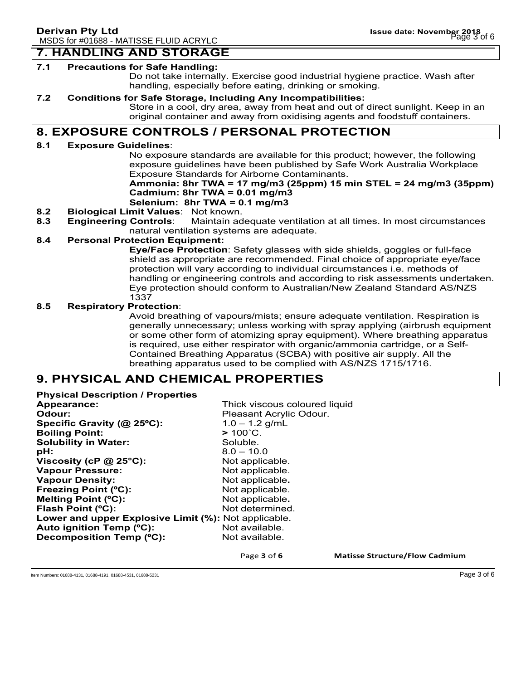## **7. HANDLING AND STORAGE**

#### **7.1 Precautions for Safe Handling:**

Do not take internally. Exercise good industrial hygiene practice. Wash after handling, especially before eating, drinking or smoking.

#### **7.2 Conditions for Safe Storage, Including Any Incompatibilities:**

Store in a cool, dry area, away from heat and out of direct sunlight. Keep in an original container and away from oxidising agents and foodstuff containers.

### **8. EXPOSURE CONTROLS / PERSONAL PROTECTION**

#### **8.1 Exposure Guidelines**:

No exposure standards are available for this product; however, the following exposure guidelines have been published by Safe Work Australia Workplace Exposure Standards for Airborne Contaminants.

### **Ammonia: 8hr TWA = 17 mg/m3 (25ppm) 15 min STEL = 24 mg/m3 (35ppm) Cadmium: 8hr TWA = 0.01 mg/m3**

### **Selenium: 8hr TWA = 0.1 mg/m3**

- **8.2 Biological Limit Values**: Not known.
- **8.3 Engineering Controls**: Maintain adequate ventilation at all times. In most circumstances natural ventilation systems are adequate.

#### **8.4 Personal Protection Equipment:**

**Eye/Face Protection**: Safety glasses with side shields, goggles or full-face shield as appropriate are recommended. Final choice of appropriate eye/face protection will vary according to individual circumstances i.e. methods of handling or engineering controls and according to risk assessments undertaken. Eye protection should conform to Australian/New Zealand Standard AS/NZS 1337

#### **8.5 Respiratory Protection**:

Avoid breathing of vapours/mists; ensure adequate ventilation. Respiration is generally unnecessary; unless working with spray applying (airbrush equipment or some other form of atomizing spray equipment). Where breathing apparatus is required, use either respirator with organic/ammonia cartridge, or a Self-Contained Breathing Apparatus (SCBA) with positive air supply. All the breathing apparatus used to be complied with AS/NZS 1715/1716.

### **9. PHYSICAL AND CHEMICAL PROPERTIES**

**Physical Description / Properties Appearance:** Thick viscous coloured liquid **Odour: Pleasant Acrylic Odour. Specific Gravity (@ 25ºC):** 1.0 – 1.2 g/mL **Boiling Point: >** 100˚C. **Solubility in Water:** Soluble. **pH:** 8.0 – 10.0 **Viscosity (cP @ 25°C):** Not applicable. Vapour Pressure: Not applicable. **Vapour Density:** Not applicable. **Freezing Point (°C):** Not applicable. **Melting Point (°C):** Not applicable. **Flash Point (°C):** Not determined. **Lower and upper Explosive Limit (%):** Not applicable. Auto ignition Temp (°C): Not available. **Decomposition Temp (°C):** Not available.

Page 3 of 6 **Matisse Structure/Flow Cadmium** 

Item Numbers: 01688-4131, 01688-4191, 01688-4531, 01688-5231 Page 3 of 6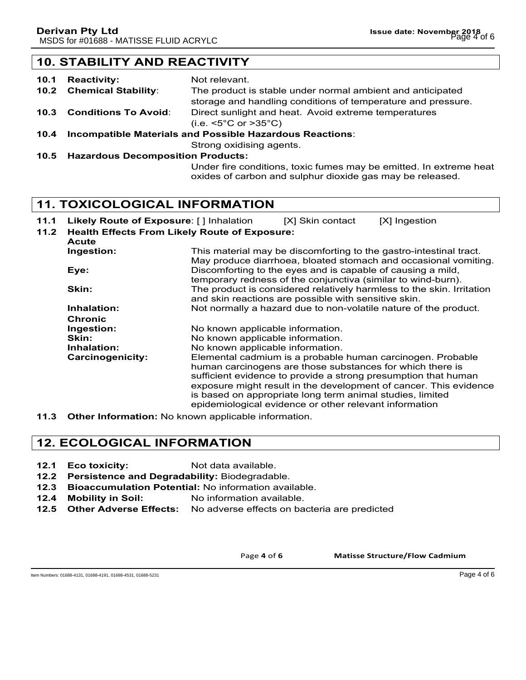## **10. STABILITY AND REACTIVITY**

| 10.1 | <b>Reactivity:</b>                                              | Not relevant.                                                                                                              |
|------|-----------------------------------------------------------------|----------------------------------------------------------------------------------------------------------------------------|
|      | 10.2 Chemical Stability:                                        | The product is stable under normal ambient and anticipated<br>storage and handling conditions of temperature and pressure. |
|      | <b>10.3 Conditions To Avoid:</b>                                | Direct sunlight and heat. Avoid extreme temperatures<br>(i.e. $\leq 5^{\circ}$ C or $\geq 35^{\circ}$ C)                   |
| 10.4 | <b>Incompatible Materials and Possible Hazardous Reactions:</b> |                                                                                                                            |
|      |                                                                 | Strong oxidising agents.                                                                                                   |
|      | 10.5 Hazardous Decomposition Products:                          |                                                                                                                            |
|      |                                                                 |                                                                                                                            |

Under fire conditions, toxic fumes may be emitted. In extreme heat oxides of carbon and sulphur dioxide gas may be released.

### **11. TOXICOLOGICAL INFORMATION**

- **11.1 Likely Route of Exposure**: [ ] Inhalation [X] Skin contact [X] Ingestion
	-
- **11.2 Health Effects From Likely Route of Exposure: Acute Ingestion:** This material may be discomforting to the gastro-intestinal tract. May produce diarrhoea, bloated stomach and occasional vomiting. **Eye: Exercise Exercise Eye:** Discomforting to the eyes and is capable of causing a mild, temporary redness of the conjunctiva (similar to wind-burn). **Skin:** The product is considered relatively harmless to the skin. Irritation and skin reactions are possible with sensitive skin. **Inhalation:** Not normally a hazard due to non-volatile nature of the product. **Chronic Ingestion:** No known applicable information. **Skin:** No known applicable information. **Inhalation:** No known applicable information. **Carcinogenicity:** Elemental cadmium is a probable human carcinogen. Probable human carcinogens are those substances for which there is sufficient evidence to provide a strong presumption that human exposure might result in the development of cancer. This evidence is based on appropriate long term animal studies, limited epidemiological evidence or other relevant information
- **11.3 Other Information:** No known applicable information.

## **12. ECOLOGICAL INFORMATION**

- **12.1 Eco toxicity:** Not data available.
- **12.2 Persistence and Degradability:** Biodegradable.
- **12.3 Bioaccumulation Potential:** No information available.
- **12.4 Mobility in Soil:** No information available.
- **12.5 Other Adverse Effects:** No adverse effects on bacteria are predicted

Page 4 of 6 **Matisse Structure/Flow Cadmium** 

Item Numbers: 01688-4131, 01688-4191, 01688-4531, 01688-5231 Page 4 of 6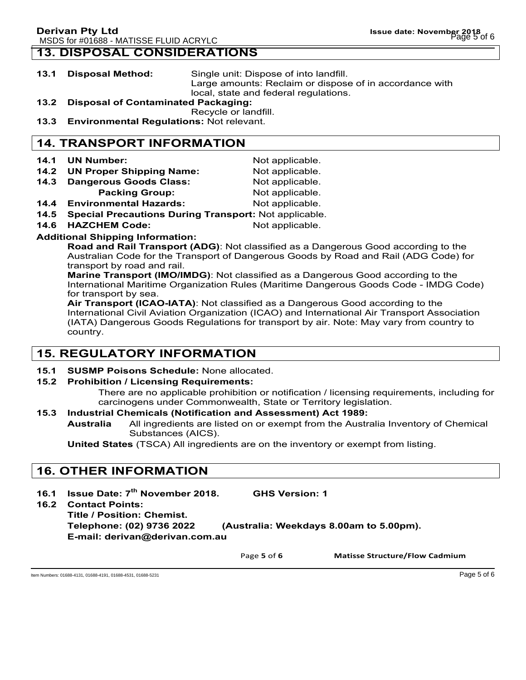### **13. DISPOSAL CONSIDERATIONS**

- **13.1 Disposal Method:** Single unit: Dispose of into landfill. Large amounts: Reclaim or dispose of in accordance with local, state and federal regulations.
- **13.2 Disposal of Contaminated Packaging:**
- Recycle or landfill.
- **13.3 Environmental Regulations:** Not relevant.

## **14. TRANSPORT INFORMATION**

- **14.1 UN Number:** Not applicable.
- **14.2 UN Proper Shipping Name:** Not applicable.
- 14.3 Dangerous Goods Class: Not applicable.
	- **Packing Group:** Not applicable.
- **14.4 Environmental Hazards:** Not applicable.
- **14.5 Special Precautions During Transport:** Not applicable.
- **14.6 HAZCHEM Code:** Not applicable.

#### **Additional Shipping Information:**

**Road and Rail Transport (ADG)**: Not classified as a Dangerous Good according to the Australian Code for the Transport of Dangerous Goods by Road and Rail (ADG Code) for transport by road and rail.

**Marine Transport (IMO/IMDG)**: Not classified as a Dangerous Good according to the International Maritime Organization Rules (Maritime Dangerous Goods Code - IMDG Code) for transport by sea.

**Air Transport (ICAO-IATA)**: Not classified as a Dangerous Good according to the International Civil Aviation Organization (ICAO) and International Air Transport Association (IATA) Dangerous Goods Regulations for transport by air. Note: May vary from country to country.

## **15. REGULATORY INFORMATION**

**15.1 SUSMP Poisons Schedule:** None allocated.

### **15.2 Prohibition / Licensing Requirements:**

There are no applicable prohibition or notification / licensing requirements, including for carcinogens under Commonwealth, State or Territory legislation.

### **15.3 Industrial Chemicals (Notification and Assessment) Act 1989:**

**Australia** All ingredients are listed on or exempt from the Australia Inventory of Chemical Substances (AICS).

**United States** (TSCA) All ingredients are on the inventory or exempt from listing.

## **16. OTHER INFORMATION**

- **16.1 Issue Date: 7th November 2018. GHS Version: 1**
- **16.2 Contact Points:**

**Title / Position: Chemist. Telephone: (02) 9736 2022 (Australia: Weekdays 8.00am to 5.00pm). E-mail: derivan@derivan.com.au**

Page 5 of 6 **Matisse Structure/Flow Cadmium** 

Item Numbers: 01688-4131, 01688-4191, 01688-4531, 01688-5231 Page 5 of 6